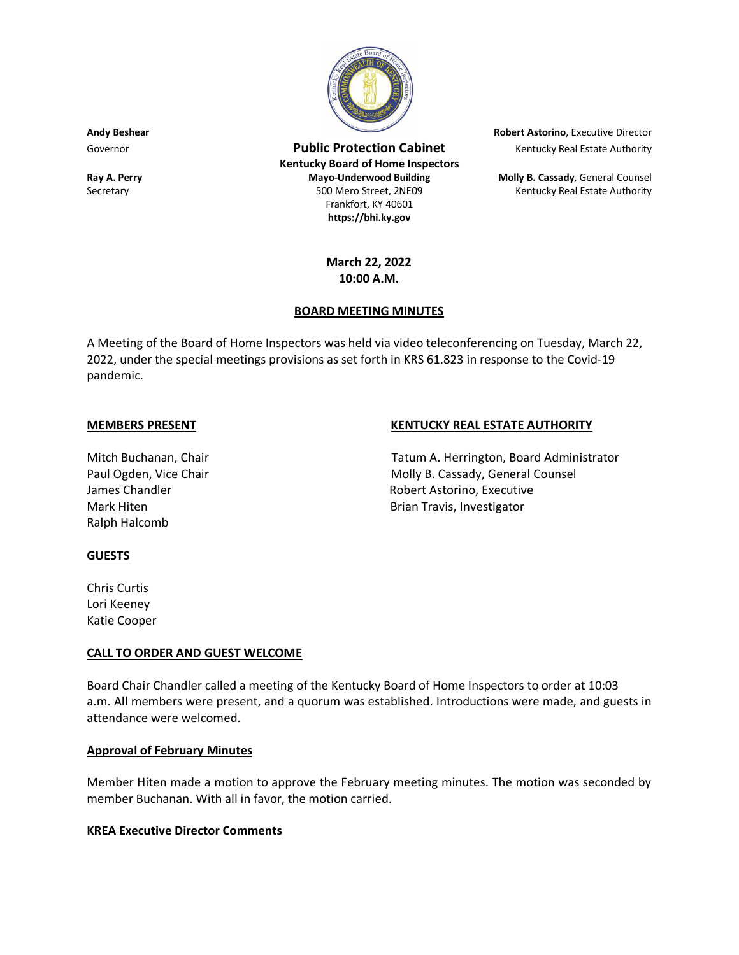

Governor **Public Protection Cabinet** Kentucky Real Estate Authority Real Estate Authority **Kentucky Board of Home Inspectors Ray A. Perry Mayo-Underwood Building Molly B. Cassady**, General Counsel Secretary **500 Mero Street, 2NE09** Kentucky Real Estate Authority Real Estate Authority Frankfort, KY 40601 **https://bhi.ky.gov**

**Andy Beshear Robert Astorino**, Executive Director

# **March 22, 2022 10:00 A.M.**

### **BOARD MEETING MINUTES**

A Meeting of the Board of Home Inspectors was held via video teleconferencing on Tuesday, March 22, 2022, under the special meetings provisions as set forth in KRS 61.823 in response to the Covid-19 pandemic.

# Ralph Halcomb

# **MEMBERS PRESENT KENTUCKY REAL ESTATE AUTHORITY**

Mitch Buchanan, Chair Tatum A. Herrington, Board Administrator Paul Ogden, Vice Chair Molly B. Cassady, General Counsel James Chandler **No. 2018** Robert Astorino, Executive Mark Hiten **Brian Travis**, Investigator

### **GUESTS**

Chris Curtis Lori Keeney Katie Cooper

### **CALL TO ORDER AND GUEST WELCOME**

Board Chair Chandler called a meeting of the Kentucky Board of Home Inspectors to order at 10:03 a.m. All members were present, and a quorum was established. Introductions were made, and guests in attendance were welcomed.

### **Approval of February Minutes**

Member Hiten made a motion to approve the February meeting minutes. The motion was seconded by member Buchanan. With all in favor, the motion carried.

### **KREA Executive Director Comments**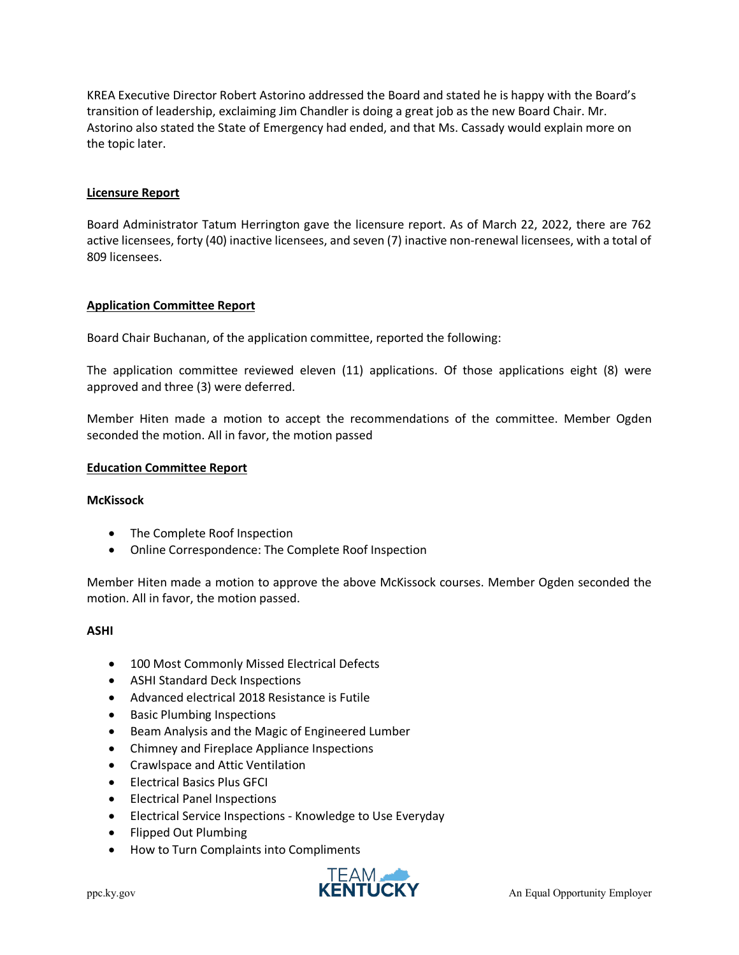KREA Executive Director Robert Astorino addressed the Board and stated he is happy with the Board's transition of leadership, exclaiming Jim Chandler is doing a great job as the new Board Chair. Mr. Astorino also stated the State of Emergency had ended, and that Ms. Cassady would explain more on the topic later.

# **Licensure Report**

Board Administrator Tatum Herrington gave the licensure report. As of March 22, 2022, there are 762 active licensees, forty (40) inactive licensees, and seven (7) inactive non-renewal licensees, with a total of 809 licensees.

# **Application Committee Report**

Board Chair Buchanan, of the application committee, reported the following:

The application committee reviewed eleven (11) applications. Of those applications eight (8) were approved and three (3) were deferred.

Member Hiten made a motion to accept the recommendations of the committee. Member Ogden seconded the motion. All in favor, the motion passed

### **Education Committee Report**

### **McKissock**

- The Complete Roof Inspection
- Online Correspondence: The Complete Roof Inspection

Member Hiten made a motion to approve the above McKissock courses. Member Ogden seconded the motion. All in favor, the motion passed.

### **ASHI**

- 100 Most Commonly Missed Electrical Defects
- ASHI Standard Deck Inspections
- Advanced electrical 2018 Resistance is Futile
- Basic Plumbing Inspections
- Beam Analysis and the Magic of Engineered Lumber
- Chimney and Fireplace Appliance Inspections
- Crawlspace and Attic Ventilation
- Electrical Basics Plus GFCI
- Electrical Panel Inspections
- Electrical Service Inspections Knowledge to Use Everyday
- Flipped Out Plumbing
- How to Turn Complaints into Compliments

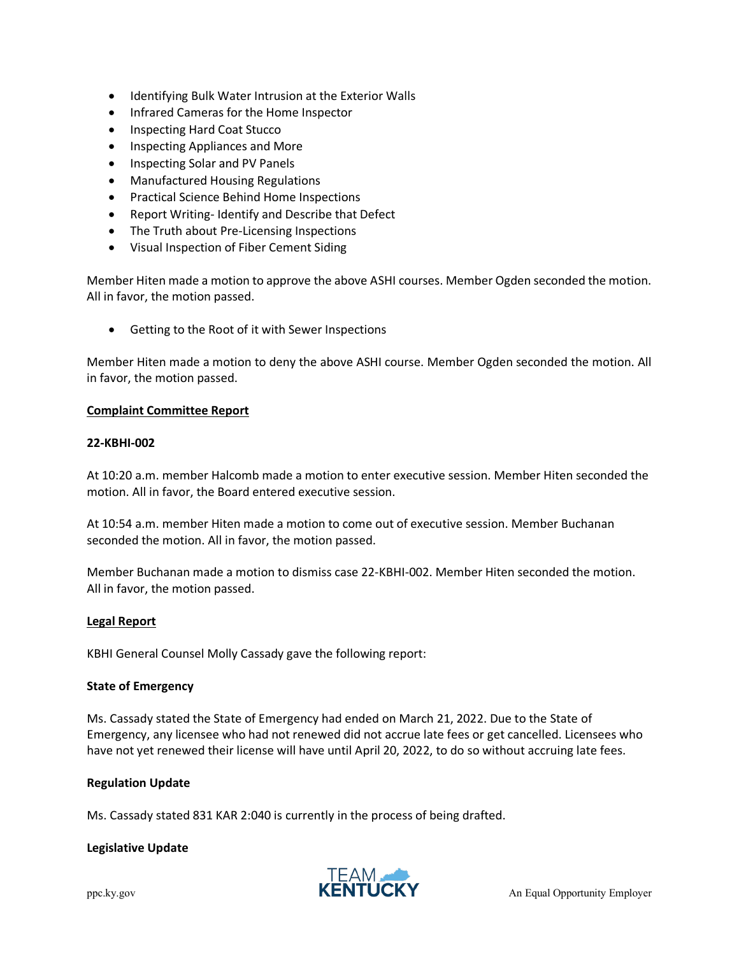- Identifying Bulk Water Intrusion at the Exterior Walls
- Infrared Cameras for the Home Inspector
- Inspecting Hard Coat Stucco
- Inspecting Appliances and More
- Inspecting Solar and PV Panels
- Manufactured Housing Regulations
- Practical Science Behind Home Inspections
- Report Writing- Identify and Describe that Defect
- The Truth about Pre-Licensing Inspections
- Visual Inspection of Fiber Cement Siding

Member Hiten made a motion to approve the above ASHI courses. Member Ogden seconded the motion. All in favor, the motion passed.

• Getting to the Root of it with Sewer Inspections

Member Hiten made a motion to deny the above ASHI course. Member Ogden seconded the motion. All in favor, the motion passed.

### **Complaint Committee Report**

#### **22-KBHI-002**

At 10:20 a.m. member Halcomb made a motion to enter executive session. Member Hiten seconded the motion. All in favor, the Board entered executive session.

At 10:54 a.m. member Hiten made a motion to come out of executive session. Member Buchanan seconded the motion. All in favor, the motion passed.

Member Buchanan made a motion to dismiss case 22-KBHI-002. Member Hiten seconded the motion. All in favor, the motion passed.

### **Legal Report**

KBHI General Counsel Molly Cassady gave the following report:

### **State of Emergency**

Ms. Cassady stated the State of Emergency had ended on March 21, 2022. Due to the State of Emergency, any licensee who had not renewed did not accrue late fees or get cancelled. Licensees who have not yet renewed their license will have until April 20, 2022, to do so without accruing late fees.

### **Regulation Update**

Ms. Cassady stated 831 KAR 2:040 is currently in the process of being drafted.

### **Legislative Update**

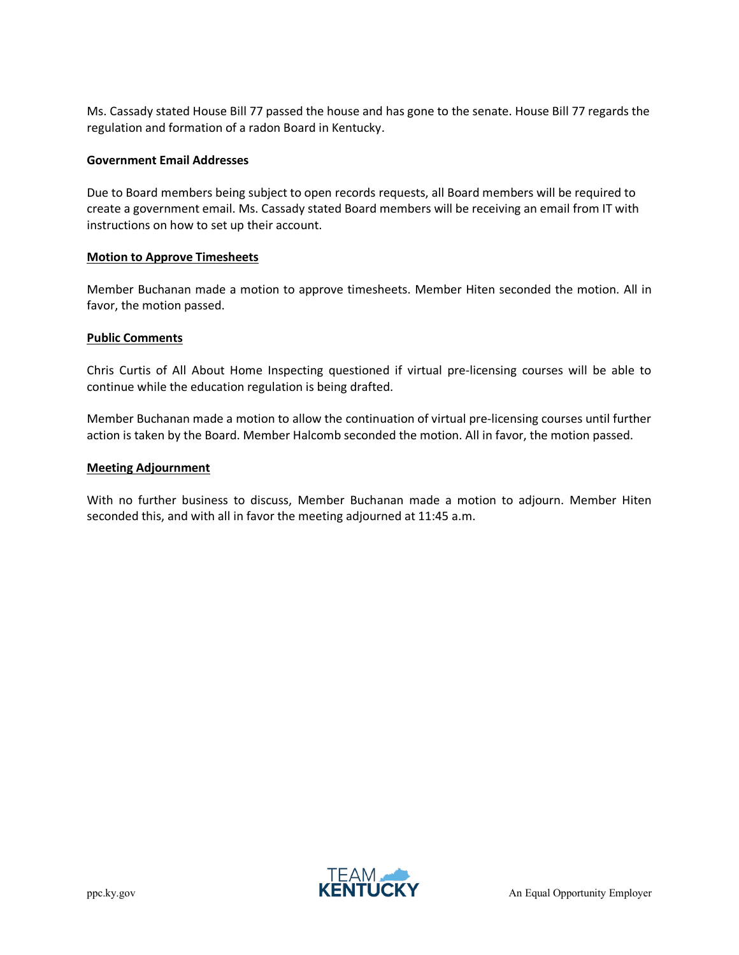Ms. Cassady stated House Bill 77 passed the house and has gone to the senate. House Bill 77 regards the regulation and formation of a radon Board in Kentucky.

#### **Government Email Addresses**

Due to Board members being subject to open records requests, all Board members will be required to create a government email. Ms. Cassady stated Board members will be receiving an email from IT with instructions on how to set up their account.

#### **Motion to Approve Timesheets**

Member Buchanan made a motion to approve timesheets. Member Hiten seconded the motion. All in favor, the motion passed.

#### **Public Comments**

Chris Curtis of All About Home Inspecting questioned if virtual pre-licensing courses will be able to continue while the education regulation is being drafted.

Member Buchanan made a motion to allow the continuation of virtual pre-licensing courses until further action is taken by the Board. Member Halcomb seconded the motion. All in favor, the motion passed.

#### **Meeting Adjournment**

With no further business to discuss, Member Buchanan made a motion to adjourn. Member Hiten seconded this, and with all in favor the meeting adjourned at 11:45 a.m.